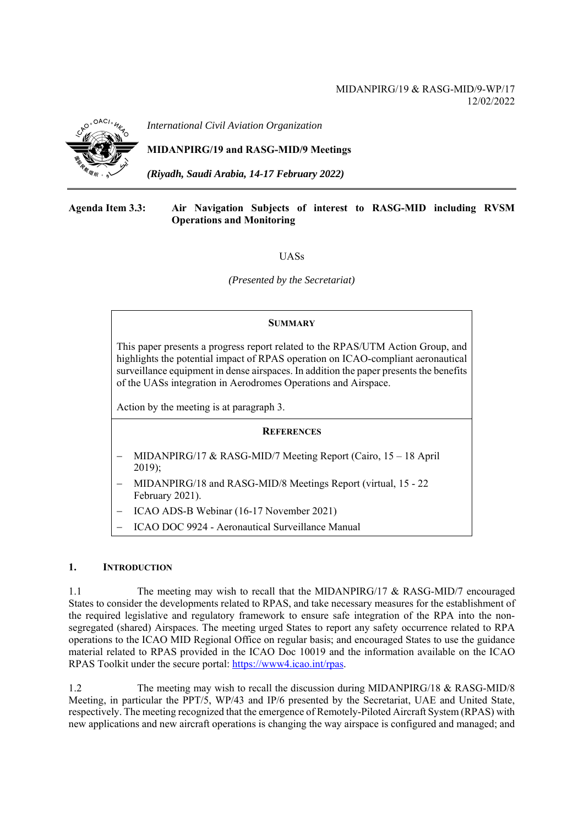# MIDANPIRG/19 & RASG-MID/9-WP/17 12/02/2022



*International Civil Aviation Organization*

# **MIDANPIRG/19 and RASG-MID/9 Meetings**

*(Riyadh, Saudi Arabia, 14-17 February 2022)* 

### **Agenda Item 3.3: Air Navigation Subjects of interest to RASG-MID including RVSM Operations and Monitoring**

**IJASs** 

*(Presented by the Secretariat)* 

#### **SUMMARY**

This paper presents a progress report related to the RPAS/UTM Action Group, and highlights the potential impact of RPAS operation on ICAO-compliant aeronautical surveillance equipment in dense airspaces. In addition the paper presents the benefits of the UASs integration in Aerodromes Operations and Airspace.

Action by the meeting is at paragraph 3.

#### **REFERENCES**

- MIDANPIRG/17 & RASG-MID/7 Meeting Report (Cairo, 15 18 April 2019);
- MIDANPIRG/18 and RASG-MID/8 Meetings Report (virtual, 15 22 February 2021).
- ICAO ADS-B Webinar (16-17 November 2021)
- ICAO DOC 9924 Aeronautical Surveillance Manual

## **1. INTRODUCTION**

1.1 The meeting may wish to recall that the MIDANPIRG/17 & RASG-MID/7 encouraged States to consider the developments related to RPAS, and take necessary measures for the establishment of the required legislative and regulatory framework to ensure safe integration of the RPA into the nonsegregated (shared) Airspaces. The meeting urged States to report any safety occurrence related to RPA operations to the ICAO MID Regional Office on regular basis; and encouraged States to use the guidance material related to RPAS provided in the ICAO Doc 10019 and the information available on the ICAO RPAS Toolkit under the secure portal: https://www4.icao.int/rpas.

1.2 The meeting may wish to recall the discussion during MIDANPIRG/18 & RASG-MID/8 Meeting, in particular the PPT/5, WP/43 and IP/6 presented by the Secretariat, UAE and United State, respectively. The meeting recognized that the emergence of Remotely-Piloted Aircraft System (RPAS) with new applications and new aircraft operations is changing the way airspace is configured and managed; and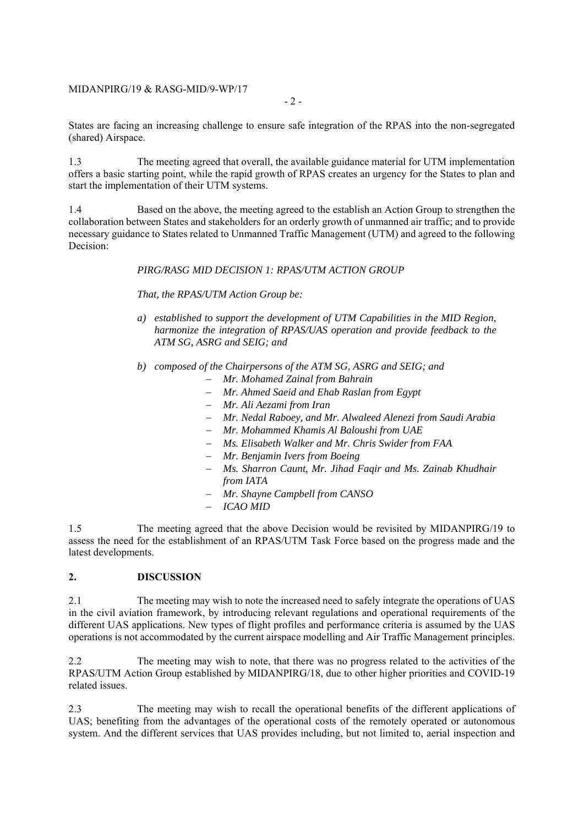### MIDANPIRG/19 & RASG-MID/9-WP/17

- 2 -

States are facing an increasing challenge to ensure safe integration of the RPAS into the non-segregated (shared) Airspace.

1.3 The meeting agreed that overall, the available guidance material for UTM implementation offers a basic starting point, while the rapid growth of RPAS creates an urgency for the States to plan and start the implementation of their UTM systems.

1.4 Based on the above, the meeting agreed to the establish an Action Group to strengthen the collaboration between States and stakeholders for an orderly growth of unmanned air traffic; and to provide necessary guidance to States related to Unmanned Traffic Management (UTM) and agreed to the following Decision:

## *PIRG/RASG MID DECISION 1: RPAS/UTM ACTION GROUP*

*That, the RPAS/UTM Action Group be:* 

- *a) established to support the development of UTM Capabilities in the MID Region, harmonize the integration of RPAS/UAS operation and provide feedback to the ATM SG, ASRG and SEIG; and*
- *b) composed of the Chairpersons of the ATM SG, ASRG and SEIG; and* 
	- *Mr. Mohamed Zainal from Bahrain*
	- *Mr. Ahmed Saeid and Ehab Raslan from Egypt*
	- *Mr. Ali Aezami from Iran*
	- *Mr. Nedal Raboey, and Mr. Alwaleed Alenezi from Saudi Arabia*
	- *Mr. Mohammed Khamis Al Baloushi from UAE*
	- *Ms. Elisabeth Walker and Mr. Chris Swider from FAA*
	- *Mr. Benjamin Ivers from Boeing*
	- *Ms. Sharron Caunt, Mr. Jihad Faqir and Ms. Zainab Khudhair from IATA*
	- *Mr. Shayne Campbell from CANSO*
	- *ICAO MID*

1.5 The meeting agreed that the above Decision would be revisited by MIDANPIRG/19 to assess the need for the establishment of an RPAS/UTM Task Force based on the progress made and the latest developments.

### **2. DISCUSSION**

2.1 The meeting may wish to note the increased need to safely integrate the operations of UAS in the civil aviation framework, by introducing relevant regulations and operational requirements of the different UAS applications. New types of flight profiles and performance criteria is assumed by the UAS operations is not accommodated by the current airspace modelling and Air Traffic Management principles.

2.2 The meeting may wish to note, that there was no progress related to the activities of the RPAS/UTM Action Group established by MIDANPIRG/18, due to other higher priorities and COVID-19 related issues.

2.3 The meeting may wish to recall the operational benefits of the different applications of UAS; benefiting from the advantages of the operational costs of the remotely operated or autonomous system. And the different services that UAS provides including, but not limited to, aerial inspection and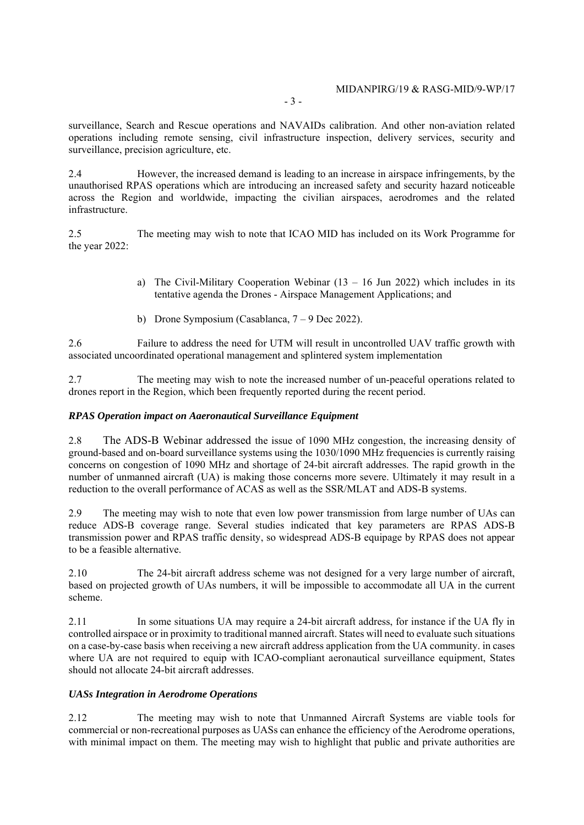- 3 -

surveillance, Search and Rescue operations and NAVAIDs calibration. And other non-aviation related operations including remote sensing, civil infrastructure inspection, delivery services, security and surveillance, precision agriculture, etc.

2.4 However, the increased demand is leading to an increase in airspace infringements, by the unauthorised RPAS operations which are introducing an increased safety and security hazard noticeable across the Region and worldwide, impacting the civilian airspaces, aerodromes and the related infrastructure.

2.5 The meeting may wish to note that ICAO MID has included on its Work Programme for the year 2022:

- a) The Civil-Military Cooperation Webinar  $(13 16)$  Jun 2022) which includes in its tentative agenda the Drones - Airspace Management Applications; and
- b) Drone Symposium (Casablanca, 7 9 Dec 2022).

2.6 Failure to address the need for UTM will result in uncontrolled UAV traffic growth with associated uncoordinated operational management and splintered system implementation

2.7 The meeting may wish to note the increased number of un-peaceful operations related to drones report in the Region, which been frequently reported during the recent period.

# *RPAS Operation impact on Aaeronautical Surveillance Equipment*

2.8 The ADS-B Webinar addressed the issue of 1090 MHz congestion, the increasing density of ground-based and on-board surveillance systems using the 1030/1090 MHz frequencies is currently raising concerns on congestion of 1090 MHz and shortage of 24-bit aircraft addresses. The rapid growth in the number of unmanned aircraft (UA) is making those concerns more severe. Ultimately it may result in a reduction to the overall performance of ACAS as well as the SSR/MLAT and ADS-B systems.

2.9 The meeting may wish to note that even low power transmission from large number of UAs can reduce ADS-B coverage range. Several studies indicated that key parameters are RPAS ADS-B transmission power and RPAS traffic density, so widespread ADS-B equipage by RPAS does not appear to be a feasible alternative.

2.10 The 24-bit aircraft address scheme was not designed for a very large number of aircraft, based on projected growth of UAs numbers, it will be impossible to accommodate all UA in the current scheme.

2.11 In some situations UA may require a 24-bit aircraft address, for instance if the UA fly in controlled airspace or in proximity to traditional manned aircraft. States will need to evaluate such situations on a case-by-case basis when receiving a new aircraft address application from the UA community. in cases where UA are not required to equip with ICAO-compliant aeronautical surveillance equipment, States should not allocate 24-bit aircraft addresses.

#### *UASs Integration in Aerodrome Operations*

2.12 The meeting may wish to note that Unmanned Aircraft Systems are viable tools for commercial or non-recreational purposes as UASs can enhance the efficiency of the Aerodrome operations, with minimal impact on them. The meeting may wish to highlight that public and private authorities are